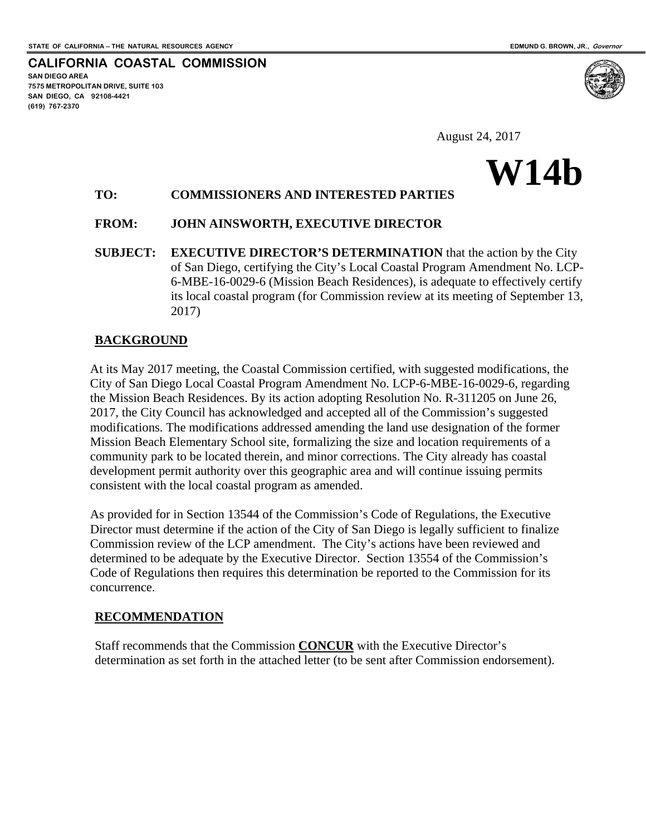**SAN DIEGO AREA** 

**(619) 767-2370**

**7575 METROPOLITAN DRIVE, SUITE 103 SAN DIEGO, CA 92108-4421**

**CALIFORNIA COASTAL COMMISSION**

August 24, 2017

# **W14b**

# **TO: COMMISSIONERS AND INTERESTED PARTIES**

### **FROM: JOHN AINSWORTH, EXECUTIVE DIRECTOR**

**SUBJECT: EXECUTIVE DIRECTOR'S DETERMINATION** that the action by the City of San Diego, certifying the City's Local Coastal Program Amendment No. LCP-6-MBE-16-0029-6 (Mission Beach Residences), is adequate to effectively certify its local coastal program (for Commission review at its meeting of September 13, 2017)

### **BACKGROUND**

At its May 2017 meeting, the Coastal Commission certified, with suggested modifications, the City of San Diego Local Coastal Program Amendment No. LCP-6-MBE-16-0029-6, regarding the Mission Beach Residences. By its action adopting Resolution No. R-311205 on June 26, 2017, the City Council has acknowledged and accepted all of the Commission's suggested modifications. The modifications addressed amending the land use designation of the former Mission Beach Elementary School site, formalizing the size and location requirements of a community park to be located therein, and minor corrections. The City already has coastal development permit authority over this geographic area and will continue issuing permits consistent with the local coastal program as amended.

As provided for in Section 13544 of the Commission's Code of Regulations, the Executive Director must determine if the action of the City of San Diego is legally sufficient to finalize Commission review of the LCP amendment. The City's actions have been reviewed and determined to be adequate by the Executive Director. Section 13554 of the Commission's Code of Regulations then requires this determination be reported to the Commission for its concurrence.

#### **RECOMMENDATION**

Staff recommends that the Commission **CONCUR** with the Executive Director's determination as set forth in the attached letter (to be sent after Commission endorsement).